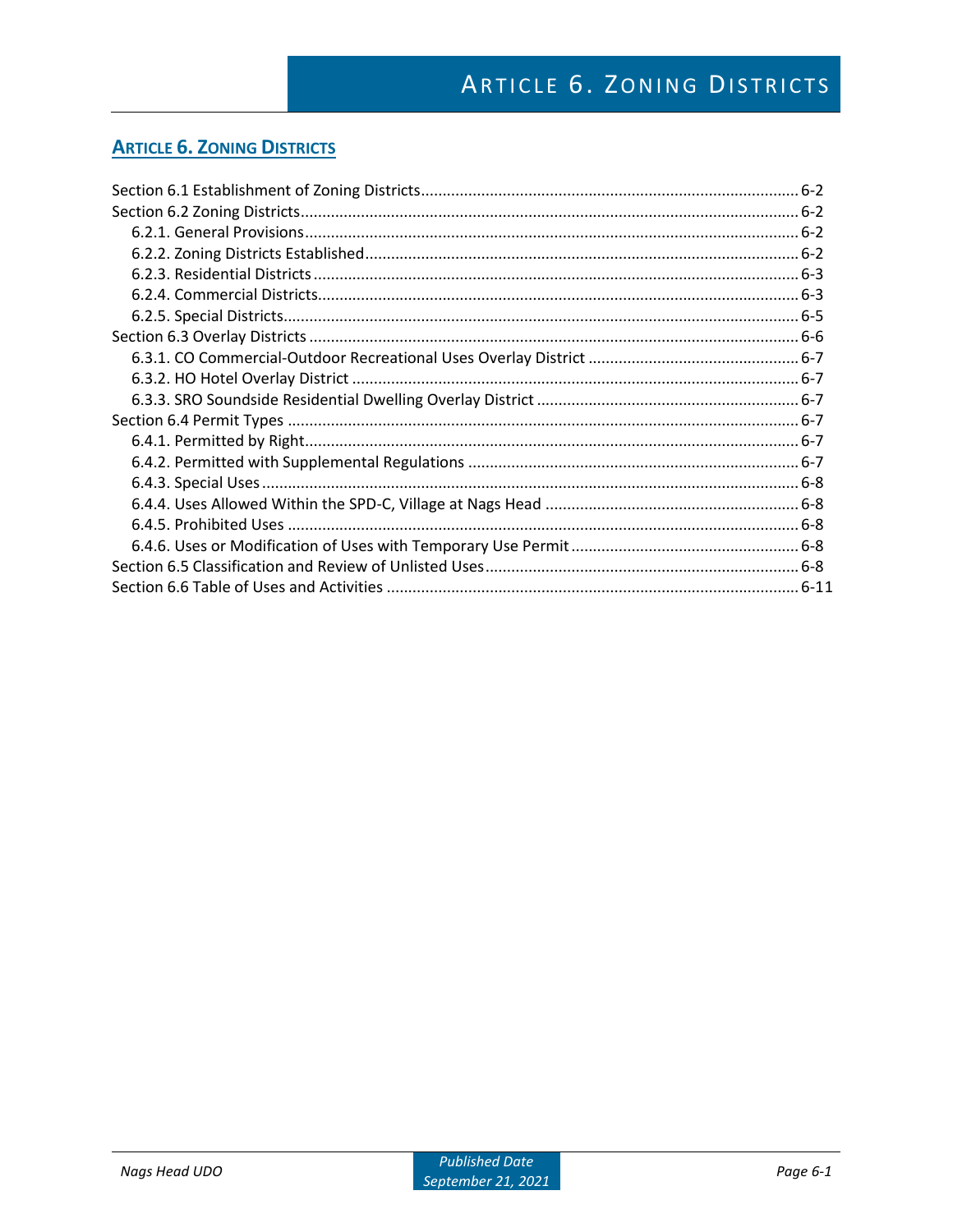## **ARTICLE 6. ZONING DISTRICTS**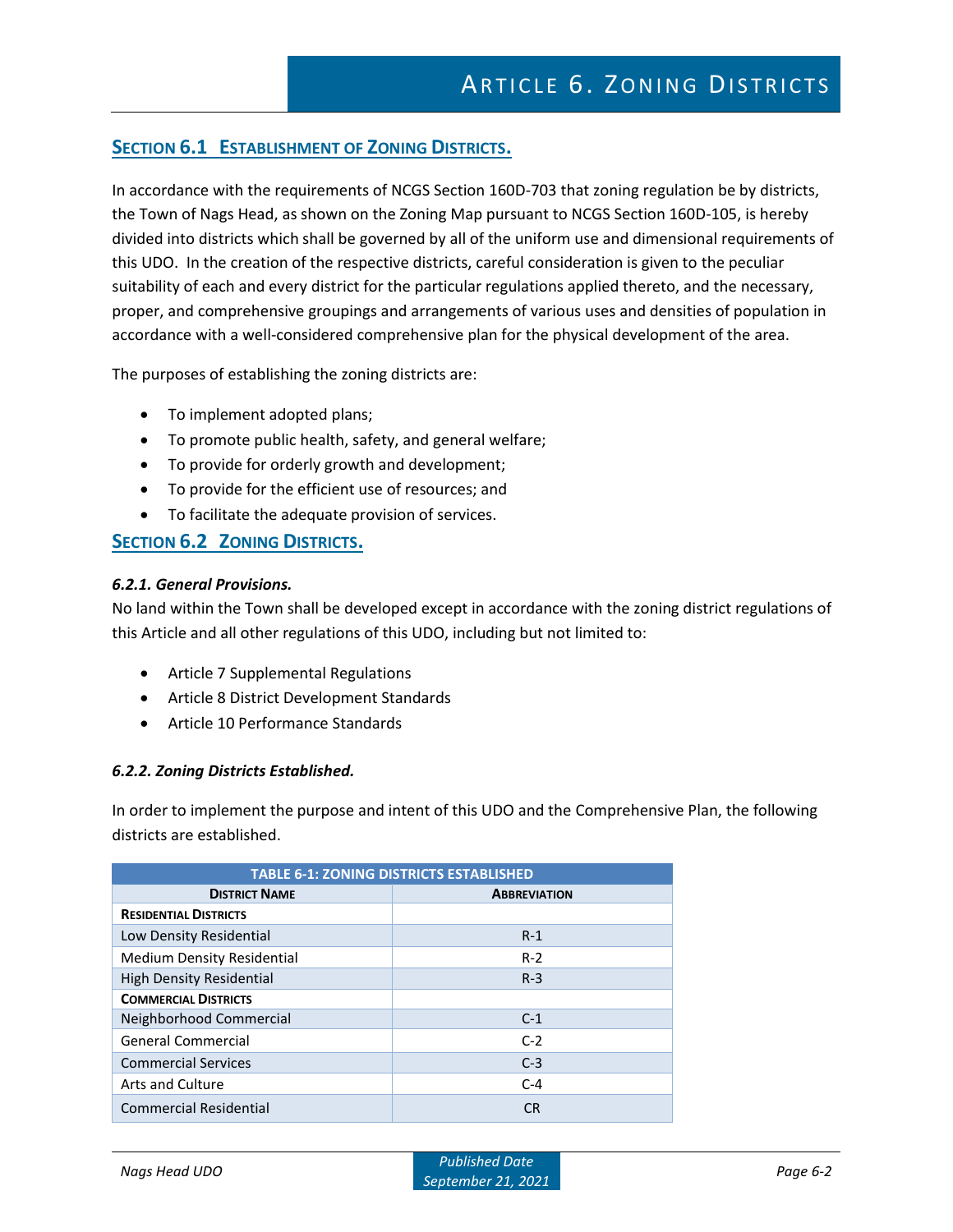## **SECTION 6.1 ESTABLISHMENT OF ZONING DISTRICTS.**

In accordance with the requirements of NCGS Section 160D-703 that zoning regulation be by districts, the Town of Nags Head, as shown on the Zoning Map pursuant to NCGS Section 160D-105, is hereby divided into districts which shall be governed by all of the uniform use and dimensional requirements of this UDO. In the creation of the respective districts, careful consideration is given to the peculiar suitability of each and every district for the particular regulations applied thereto, and the necessary, proper, and comprehensive groupings and arrangements of various uses and densities of population in accordance with a well-considered comprehensive plan for the physical development of the area.

The purposes of establishing the zoning districts are:

- To implement adopted plans;
- To promote public health, safety, and general welfare;
- To provide for orderly growth and development;
- To provide for the efficient use of resources; and
- To facilitate the adequate provision of services.

## **SECTION 6.2 ZONING DISTRICTS.**

#### *6.2.1. General Provisions.*

No land within the Town shall be developed except in accordance with the zoning district regulations of this Article and all other regulations of this UDO, including but not limited to:

- Article 7 Supplemental Regulations
- Article 8 District Development Standards
- Article 10 Performance Standards

#### *6.2.2. Zoning Districts Established.*

In order to implement the purpose and intent of this UDO and the Comprehensive Plan, the following districts are established.

| <b>TABLE 6-1: ZONING DISTRICTS ESTABLISHED</b> |                     |  |  |  |  |  |  |  |  |  |  |  |
|------------------------------------------------|---------------------|--|--|--|--|--|--|--|--|--|--|--|
| <b>DISTRICT NAME</b>                           | <b>ABBREVIATION</b> |  |  |  |  |  |  |  |  |  |  |  |
| <b>RESIDENTIAL DISTRICTS</b>                   |                     |  |  |  |  |  |  |  |  |  |  |  |
| Low Density Residential                        | $R-1$               |  |  |  |  |  |  |  |  |  |  |  |
| <b>Medium Density Residential</b>              | $R-2$               |  |  |  |  |  |  |  |  |  |  |  |
| <b>High Density Residential</b>                | $R-3$               |  |  |  |  |  |  |  |  |  |  |  |
| <b>COMMERCIAL DISTRICTS</b>                    |                     |  |  |  |  |  |  |  |  |  |  |  |
| Neighborhood Commercial                        | $C-1$               |  |  |  |  |  |  |  |  |  |  |  |
| <b>General Commercial</b>                      | $C-2$               |  |  |  |  |  |  |  |  |  |  |  |
| <b>Commercial Services</b>                     | $C-3$               |  |  |  |  |  |  |  |  |  |  |  |
| Arts and Culture                               | $C-4$               |  |  |  |  |  |  |  |  |  |  |  |
| <b>Commercial Residential</b>                  | СR                  |  |  |  |  |  |  |  |  |  |  |  |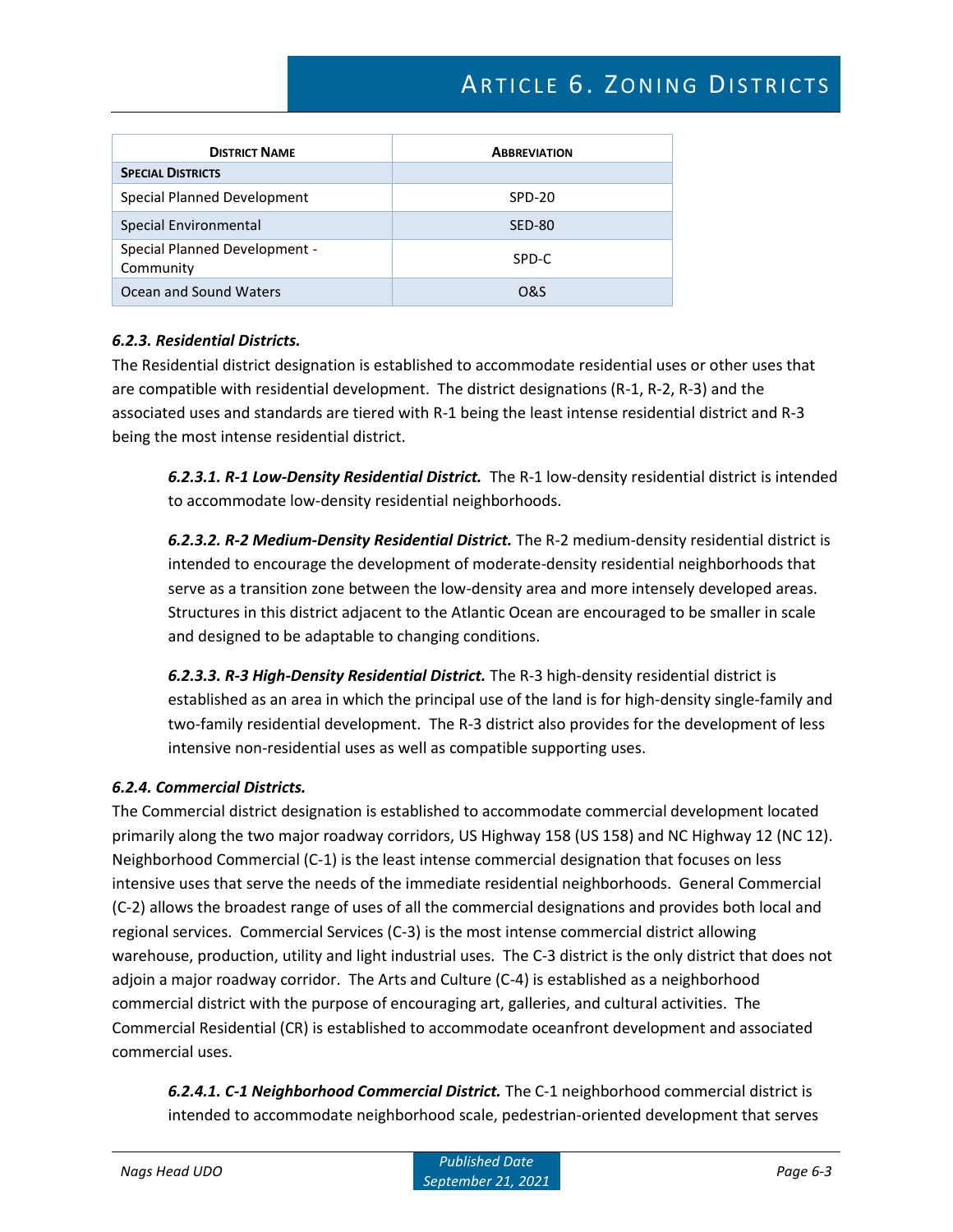| <b>DISTRICT NAME</b>                       | <b>ABBREVIATION</b> |
|--------------------------------------------|---------------------|
| <b>SPECIAL DISTRICTS</b>                   |                     |
| Special Planned Development                | SPD-20              |
| Special Environmental                      | <b>SED-80</b>       |
| Special Planned Development -<br>Community | SPD-C               |
| Ocean and Sound Waters                     | O&S                 |

#### *6.2.3. Residential Districts.*

The Residential district designation is established to accommodate residential uses or other uses that are compatible with residential development. The district designations (R-1, R-2, R-3) and the associated uses and standards are tiered with R-1 being the least intense residential district and R-3 being the most intense residential district.

*6.2.3.1. R-1 Low-Density Residential District.* The R-1 low-density residential district is intended to accommodate low-density residential neighborhoods.

*6.2.3.2. R-2 Medium-Density Residential District.* The R-2 medium-density residential district is intended to encourage the development of moderate-density residential neighborhoods that serve as a transition zone between the low-density area and more intensely developed areas. Structures in this district adjacent to the Atlantic Ocean are encouraged to be smaller in scale and designed to be adaptable to changing conditions.

*6.2.3.3. R-3 High-Density Residential District.* The R-3 high-density residential district is established as an area in which the principal use of the land is for high-density single-family and two-family residential development. The R-3 district also provides for the development of less intensive non-residential uses as well as compatible supporting uses.

## *6.2.4. Commercial Districts.*

The Commercial district designation is established to accommodate commercial development located primarily along the two major roadway corridors, US Highway 158 (US 158) and NC Highway 12 (NC 12). Neighborhood Commercial (C-1) is the least intense commercial designation that focuses on less intensive uses that serve the needs of the immediate residential neighborhoods. General Commercial (C-2) allows the broadest range of uses of all the commercial designations and provides both local and regional services. Commercial Services (C-3) is the most intense commercial district allowing warehouse, production, utility and light industrial uses. The C-3 district is the only district that does not adjoin a major roadway corridor. The Arts and Culture (C-4) is established as a neighborhood commercial district with the purpose of encouraging art, galleries, and cultural activities. The Commercial Residential (CR) is established to accommodate oceanfront development and associated commercial uses.

*6.2.4.1. C-1 Neighborhood Commercial District.* The C-1 neighborhood commercial district is intended to accommodate neighborhood scale, pedestrian-oriented development that serves

*Nags Head UDO Published Date September 21, 2021*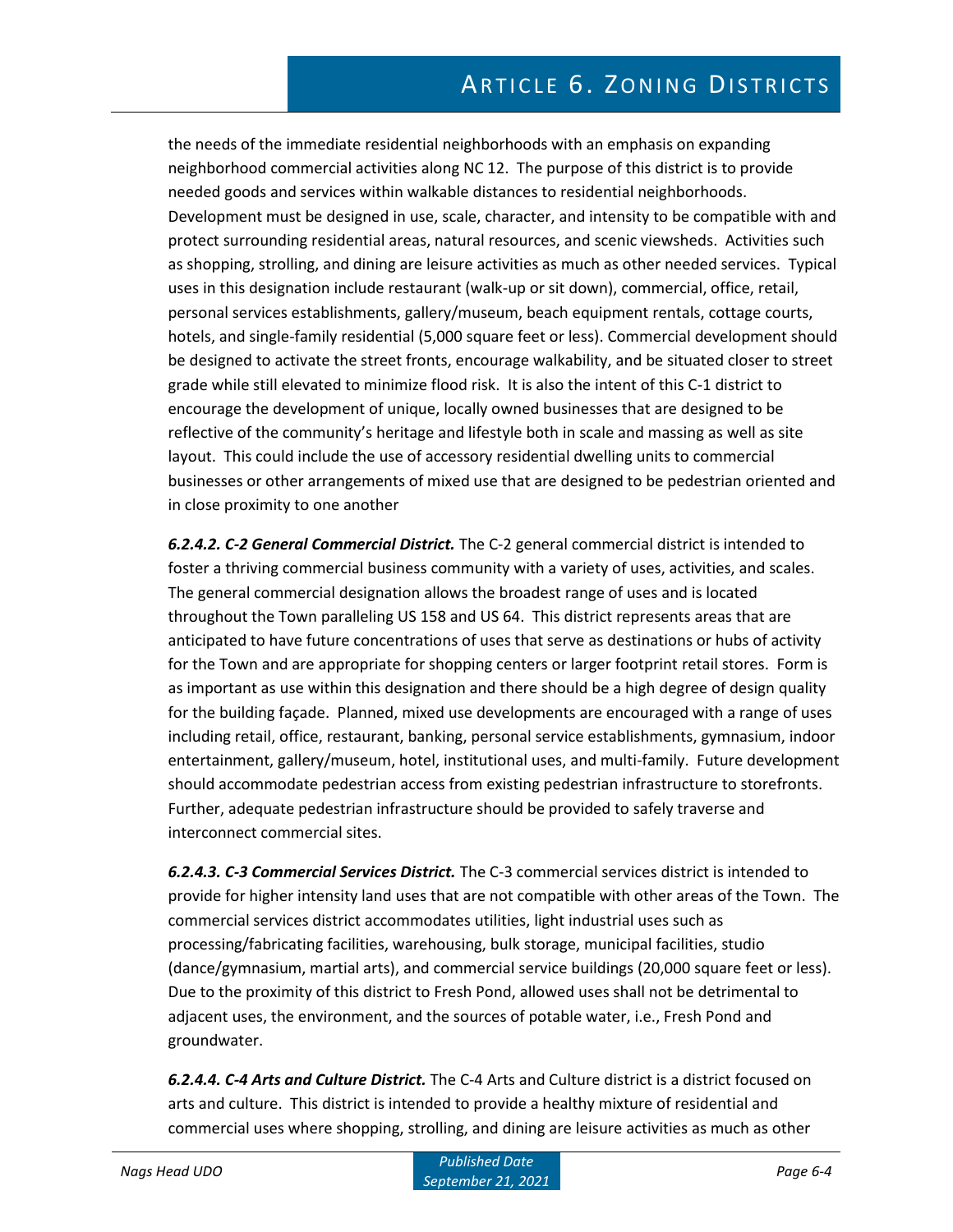the needs of the immediate residential neighborhoods with an emphasis on expanding neighborhood commercial activities along NC 12. The purpose of this district is to provide needed goods and services within walkable distances to residential neighborhoods. Development must be designed in use, scale, character, and intensity to be compatible with and protect surrounding residential areas, natural resources, and scenic viewsheds. Activities such as shopping, strolling, and dining are leisure activities as much as other needed services. Typical uses in this designation include restaurant (walk-up or sit down), commercial, office, retail, personal services establishments, gallery/museum, beach equipment rentals, cottage courts, hotels, and single-family residential (5,000 square feet or less). Commercial development should be designed to activate the street fronts, encourage walkability, and be situated closer to street grade while still elevated to minimize flood risk. It is also the intent of this C-1 district to encourage the development of unique, locally owned businesses that are designed to be reflective of the community's heritage and lifestyle both in scale and massing as well as site layout. This could include the use of accessory residential dwelling units to commercial businesses or other arrangements of mixed use that are designed to be pedestrian oriented and in close proximity to one another

*6.2.4.2. C-2 General Commercial District.* The C-2 general commercial district is intended to foster a thriving commercial business community with a variety of uses, activities, and scales. The general commercial designation allows the broadest range of uses and is located throughout the Town paralleling US 158 and US 64. This district represents areas that are anticipated to have future concentrations of uses that serve as destinations or hubs of activity for the Town and are appropriate for shopping centers or larger footprint retail stores. Form is as important as use within this designation and there should be a high degree of design quality for the building façade. Planned, mixed use developments are encouraged with a range of uses including retail, office, restaurant, banking, personal service establishments, gymnasium, indoor entertainment, gallery/museum, hotel, institutional uses, and multi-family. Future development should accommodate pedestrian access from existing pedestrian infrastructure to storefronts. Further, adequate pedestrian infrastructure should be provided to safely traverse and interconnect commercial sites.

*6.2.4.3. C-3 Commercial Services District.* The C-3 commercial services district is intended to provide for higher intensity land uses that are not compatible with other areas of the Town. The commercial services district accommodates utilities, light industrial uses such as processing/fabricating facilities, warehousing, bulk storage, municipal facilities, studio (dance/gymnasium, martial arts), and commercial service buildings (20,000 square feet or less). Due to the proximity of this district to Fresh Pond, allowed uses shall not be detrimental to adjacent uses, the environment, and the sources of potable water, i.e., Fresh Pond and groundwater.

*6.2.4.4. C-4 Arts and Culture District.* The C-4 Arts and Culture district is a district focused on arts and culture. This district is intended to provide a healthy mixture of residential and commercial uses where shopping, strolling, and dining are leisure activities as much as other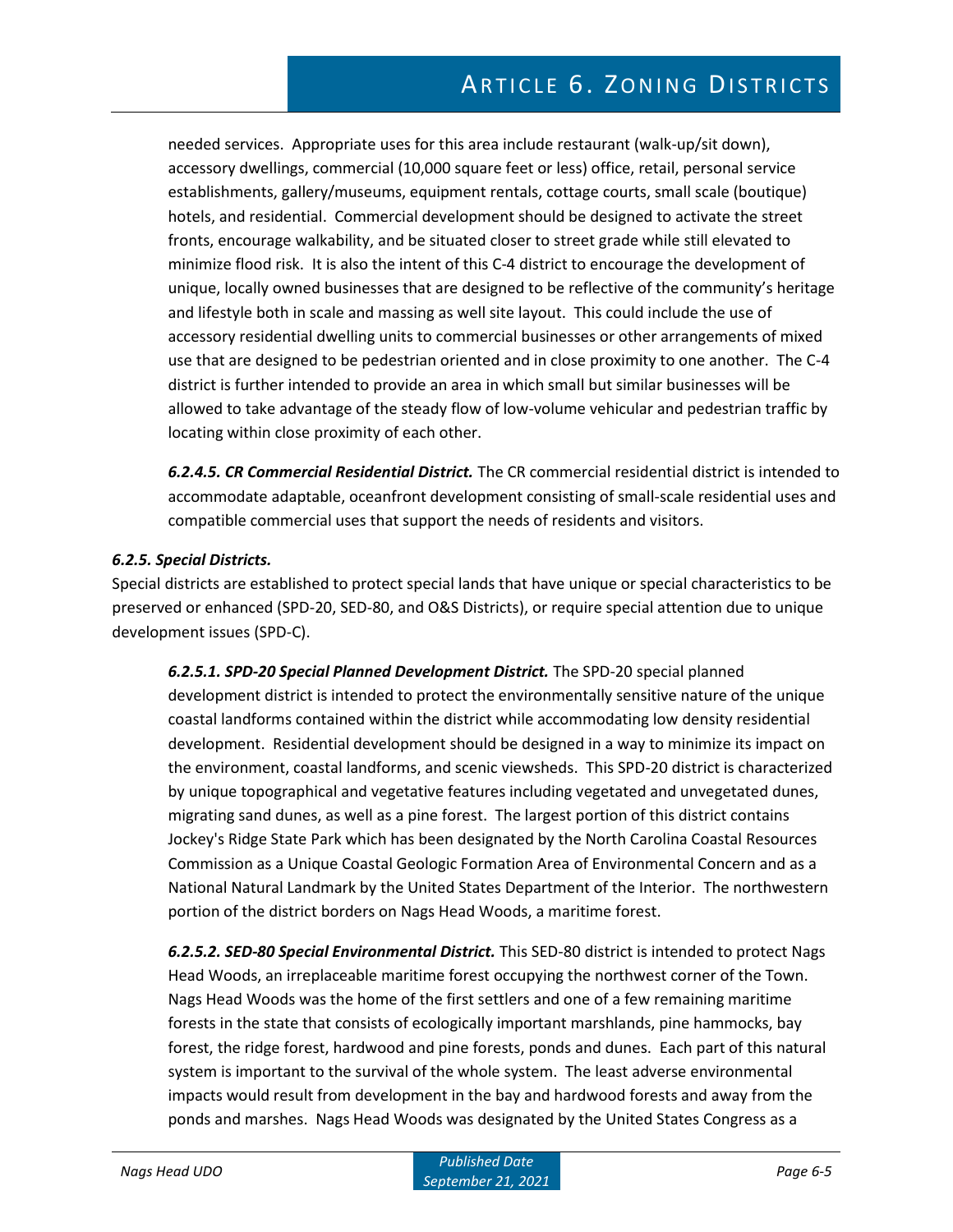needed services. Appropriate uses for this area include restaurant (walk-up/sit down), accessory dwellings, commercial (10,000 square feet or less) office, retail, personal service establishments, gallery/museums, equipment rentals, cottage courts, small scale (boutique) hotels, and residential. Commercial development should be designed to activate the street fronts, encourage walkability, and be situated closer to street grade while still elevated to minimize flood risk. It is also the intent of this C-4 district to encourage the development of unique, locally owned businesses that are designed to be reflective of the community's heritage and lifestyle both in scale and massing as well site layout. This could include the use of accessory residential dwelling units to commercial businesses or other arrangements of mixed use that are designed to be pedestrian oriented and in close proximity to one another. The C-4 district is further intended to provide an area in which small but similar businesses will be allowed to take advantage of the steady flow of low-volume vehicular and pedestrian traffic by locating within close proximity of each other.

*6.2.4.5. CR Commercial Residential District.* The CR commercial residential district is intended to accommodate adaptable, oceanfront development consisting of small-scale residential uses and compatible commercial uses that support the needs of residents and visitors.

#### *6.2.5. Special Districts.*

Special districts are established to protect special lands that have unique or special characteristics to be preserved or enhanced (SPD-20, SED-80, and O&S Districts), or require special attention due to unique development issues (SPD-C).

*6.2.5.1. SPD-20 Special Planned Development District.* The SPD-20 special planned development district is intended to protect the environmentally sensitive nature of the unique coastal landforms contained within the district while accommodating low density residential development. Residential development should be designed in a way to minimize its impact on the environment, coastal landforms, and scenic viewsheds. This SPD-20 district is characterized by unique topographical and vegetative features including vegetated and unvegetated dunes, migrating sand dunes, as well as a pine forest. The largest portion of this district contains Jockey's Ridge State Park which has been designated by the North Carolina Coastal Resources Commission as a Unique Coastal Geologic Formation Area of Environmental Concern and as a National Natural Landmark by the United States Department of the Interior. The northwestern portion of the district borders on Nags Head Woods, a maritime forest.

*6.2.5.2. SED-80 Special Environmental District.* This SED-80 district is intended to protect Nags Head Woods, an irreplaceable maritime forest occupying the northwest corner of the Town. Nags Head Woods was the home of the first settlers and one of a few remaining maritime forests in the state that consists of ecologically important marshlands, pine hammocks, bay forest, the ridge forest, hardwood and pine forests, ponds and dunes. Each part of this natural system is important to the survival of the whole system. The least adverse environmental impacts would result from development in the bay and hardwood forests and away from the ponds and marshes. Nags Head Woods was designated by the United States Congress as a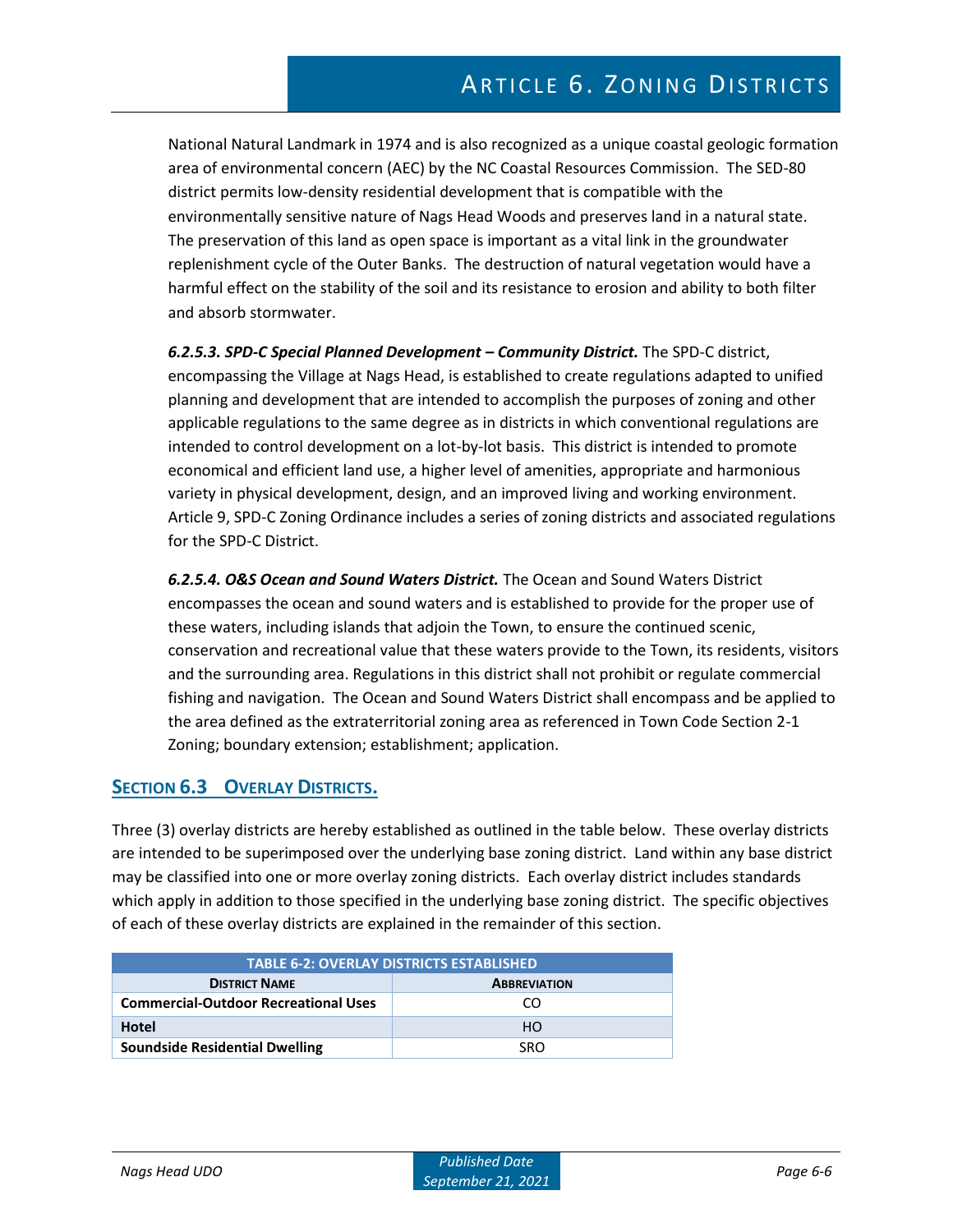National Natural Landmark in 1974 and is also recognized as a unique coastal geologic formation area of environmental concern (AEC) by the NC Coastal Resources Commission. The SED-80 district permits low-density residential development that is compatible with the environmentally sensitive nature of Nags Head Woods and preserves land in a natural state. The preservation of this land as open space is important as a vital link in the groundwater replenishment cycle of the Outer Banks. The destruction of natural vegetation would have a harmful effect on the stability of the soil and its resistance to erosion and ability to both filter and absorb stormwater.

*6.2.5.3. SPD-C Special Planned Development – Community District.* The SPD-C district, encompassing the Village at Nags Head, is established to create regulations adapted to unified planning and development that are intended to accomplish the purposes of zoning and other applicable regulations to the same degree as in districts in which conventional regulations are intended to control development on a lot-by-lot basis. This district is intended to promote economical and efficient land use, a higher level of amenities, appropriate and harmonious variety in physical development, design, and an improved living and working environment. Article 9, SPD-C Zoning Ordinance includes a series of zoning districts and associated regulations for the SPD-C District.

*6.2.5.4. O&S Ocean and Sound Waters District.* The Ocean and Sound Waters District encompasses the ocean and sound waters and is established to provide for the proper use of these waters, including islands that adjoin the Town, to ensure the continued scenic, conservation and recreational value that these waters provide to the Town, its residents, visitors and the surrounding area. Regulations in this district shall not prohibit or regulate commercial fishing and navigation. The Ocean and Sound Waters District shall encompass and be applied to the area defined as the extraterritorial zoning area as referenced in Town Code Section 2-1 Zoning; boundary extension; establishment; application.

## **SECTION 6.3 OVERLAY DISTRICTS.**

Three (3) overlay districts are hereby established as outlined in the table below. These overlay districts are intended to be superimposed over the underlying base zoning district. Land within any base district may be classified into one or more overlay zoning districts. Each overlay district includes standards which apply in addition to those specified in the underlying base zoning district. The specific objectives of each of these overlay districts are explained in the remainder of this section.

| <b>TABLE 6-2: OVERLAY DISTRICTS ESTABLISHED</b> |                     |  |  |  |  |  |  |  |  |  |  |
|-------------------------------------------------|---------------------|--|--|--|--|--|--|--|--|--|--|
| <b>DISTRICT NAME</b>                            | <b>ABBREVIATION</b> |  |  |  |  |  |  |  |  |  |  |
| <b>Commercial-Outdoor Recreational Uses</b>     | CO                  |  |  |  |  |  |  |  |  |  |  |
| Hotel                                           | HO.                 |  |  |  |  |  |  |  |  |  |  |
| <b>Soundside Residential Dwelling</b>           | <b>SRO</b>          |  |  |  |  |  |  |  |  |  |  |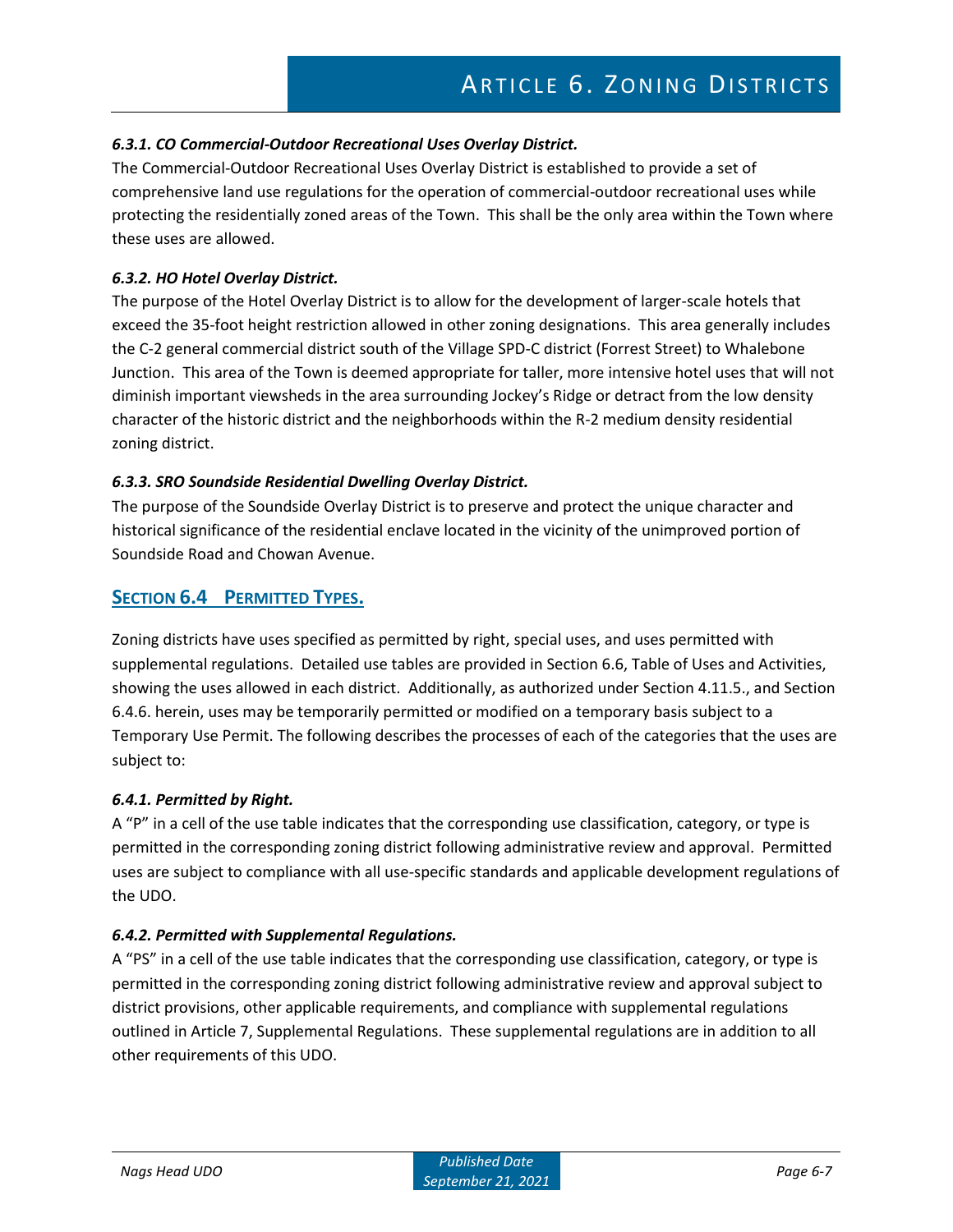## *6.3.1. CO Commercial-Outdoor Recreational Uses Overlay District.*

The Commercial-Outdoor Recreational Uses Overlay District is established to provide a set of comprehensive land use regulations for the operation of commercial-outdoor recreational uses while protecting the residentially zoned areas of the Town. This shall be the only area within the Town where these uses are allowed.

#### *6.3.2. HO Hotel Overlay District.*

The purpose of the Hotel Overlay District is to allow for the development of larger-scale hotels that exceed the 35-foot height restriction allowed in other zoning designations. This area generally includes the C-2 general commercial district south of the Village SPD-C district (Forrest Street) to Whalebone Junction. This area of the Town is deemed appropriate for taller, more intensive hotel uses that will not diminish important viewsheds in the area surrounding Jockey's Ridge or detract from the low density character of the historic district and the neighborhoods within the R-2 medium density residential zoning district.

#### *6.3.3. SRO Soundside Residential Dwelling Overlay District.*

The purpose of the Soundside Overlay District is to preserve and protect the unique character and historical significance of the residential enclave located in the vicinity of the unimproved portion of Soundside Road and Chowan Avenue.

## **SECTION 6.4 PERMITTED TYPES.**

Zoning districts have uses specified as permitted by right, special uses, and uses permitted with supplemental regulations. Detailed use tables are provided in Section 6.6, Table of Uses and Activities, showing the uses allowed in each district. Additionally, as authorized under Section 4.11.5., and Section 6.4.6. herein, uses may be temporarily permitted or modified on a temporary basis subject to a Temporary Use Permit. The following describes the processes of each of the categories that the uses are subject to:

#### *6.4.1. Permitted by Right.*

A "P" in a cell of the use table indicates that the corresponding use classification, category, or type is permitted in the corresponding zoning district following administrative review and approval. Permitted uses are subject to compliance with all use-specific standards and applicable development regulations of the UDO.

#### *6.4.2. Permitted with Supplemental Regulations.*

A "PS" in a cell of the use table indicates that the corresponding use classification, category, or type is permitted in the corresponding zoning district following administrative review and approval subject to district provisions, other applicable requirements, and compliance with supplemental regulations outlined in Article 7, Supplemental Regulations. These supplemental regulations are in addition to all other requirements of this UDO.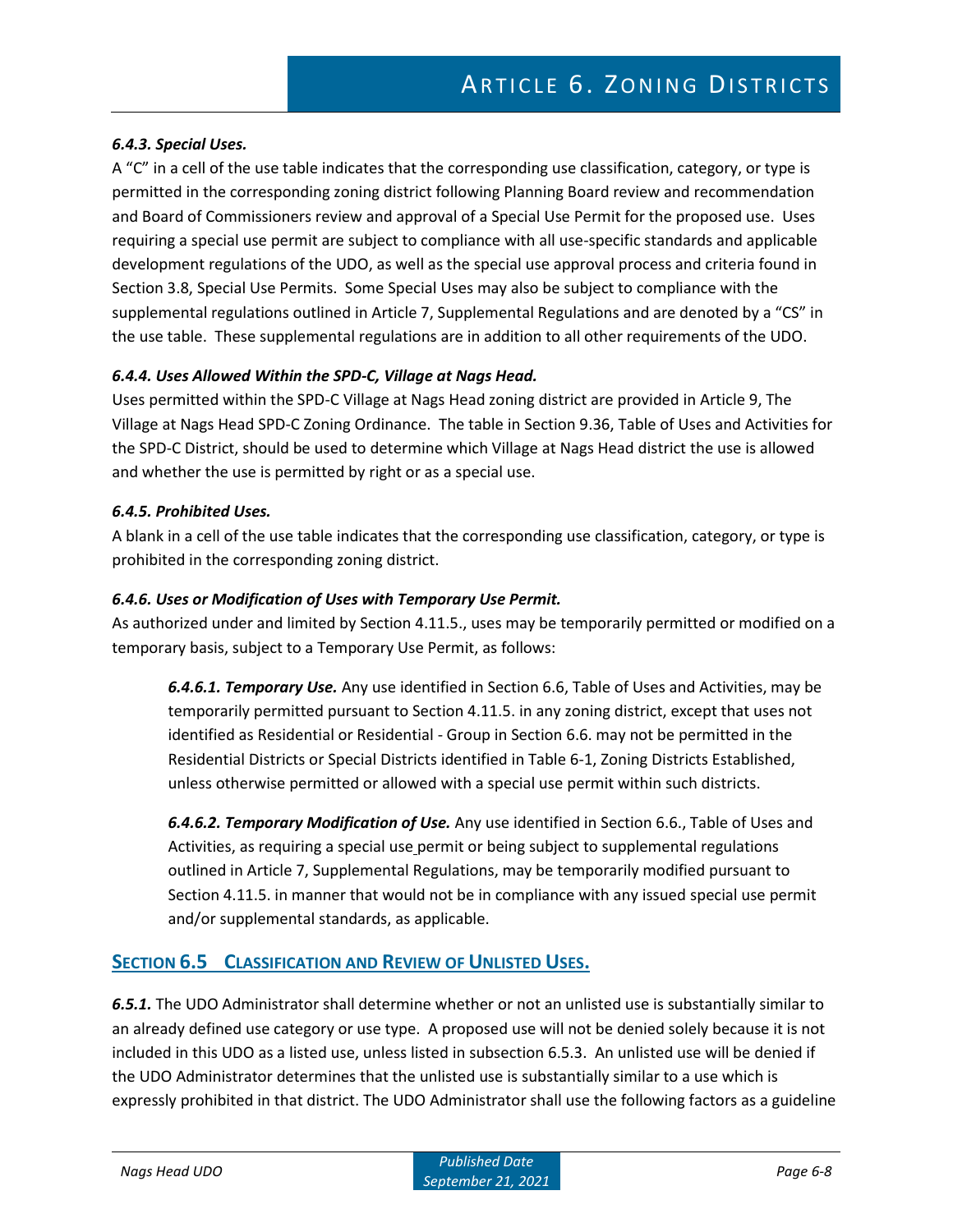### *6.4.3. Special Uses.*

A "C" in a cell of the use table indicates that the corresponding use classification, category, or type is permitted in the corresponding zoning district following Planning Board review and recommendation and Board of Commissioners review and approval of a Special Use Permit for the proposed use. Uses requiring a special use permit are subject to compliance with all use-specific standards and applicable development regulations of the UDO, as well as the special use approval process and criteria found in Section 3.8, Special Use Permits. Some Special Uses may also be subject to compliance with the supplemental regulations outlined in Article 7, Supplemental Regulations and are denoted by a "CS" in the use table. These supplemental regulations are in addition to all other requirements of the UDO.

#### *6.4.4. Uses Allowed Within the SPD-C, Village at Nags Head.*

Uses permitted within the SPD-C Village at Nags Head zoning district are provided in Article 9, The Village at Nags Head SPD-C Zoning Ordinance. The table in Section 9.36, Table of Uses and Activities for the SPD-C District, should be used to determine which Village at Nags Head district the use is allowed and whether the use is permitted by right or as a special use.

#### *6.4.5. Prohibited Uses.*

A blank in a cell of the use table indicates that the corresponding use classification, category, or type is prohibited in the corresponding zoning district.

#### *6.4.6. Uses or Modification of Uses with Temporary Use Permit.*

As authorized under and limited by Section 4.11.5., uses may be temporarily permitted or modified on a temporary basis, subject to a Temporary Use Permit, as follows:

*6.4.6.1. Temporary Use.* Any use identified in Section 6.6, Table of Uses and Activities, may be temporarily permitted pursuant to Section 4.11.5. in any zoning district, except that uses not identified as Residential or Residential - Group in Section 6.6. may not be permitted in the Residential Districts or Special Districts identified in Table 6-1, Zoning Districts Established, unless otherwise permitted or allowed with a special use permit within such districts.

*6.4.6.2. Temporary Modification of Use.* Any use identified in Section 6.6., Table of Uses and Activities, as requiring a special use permit or being subject to supplemental regulations outlined in Article 7, Supplemental Regulations, may be temporarily modified pursuant to Section 4.11.5. in manner that would not be in compliance with any issued special use permit and/or supplemental standards, as applicable.

## **SECTION 6.5 CLASSIFICATION AND REVIEW OF UNLISTED USES.**

*6.5.1.* The UDO Administrator shall determine whether or not an unlisted use is substantially similar to an already defined use category or use type. A proposed use will not be denied solely because it is not included in this UDO as a listed use, unless listed in subsection 6.5.3. An unlisted use will be denied if the UDO Administrator determines that the unlisted use is substantially similar to a use which is expressly prohibited in that district. The UDO Administrator shall use the following factors as a guideline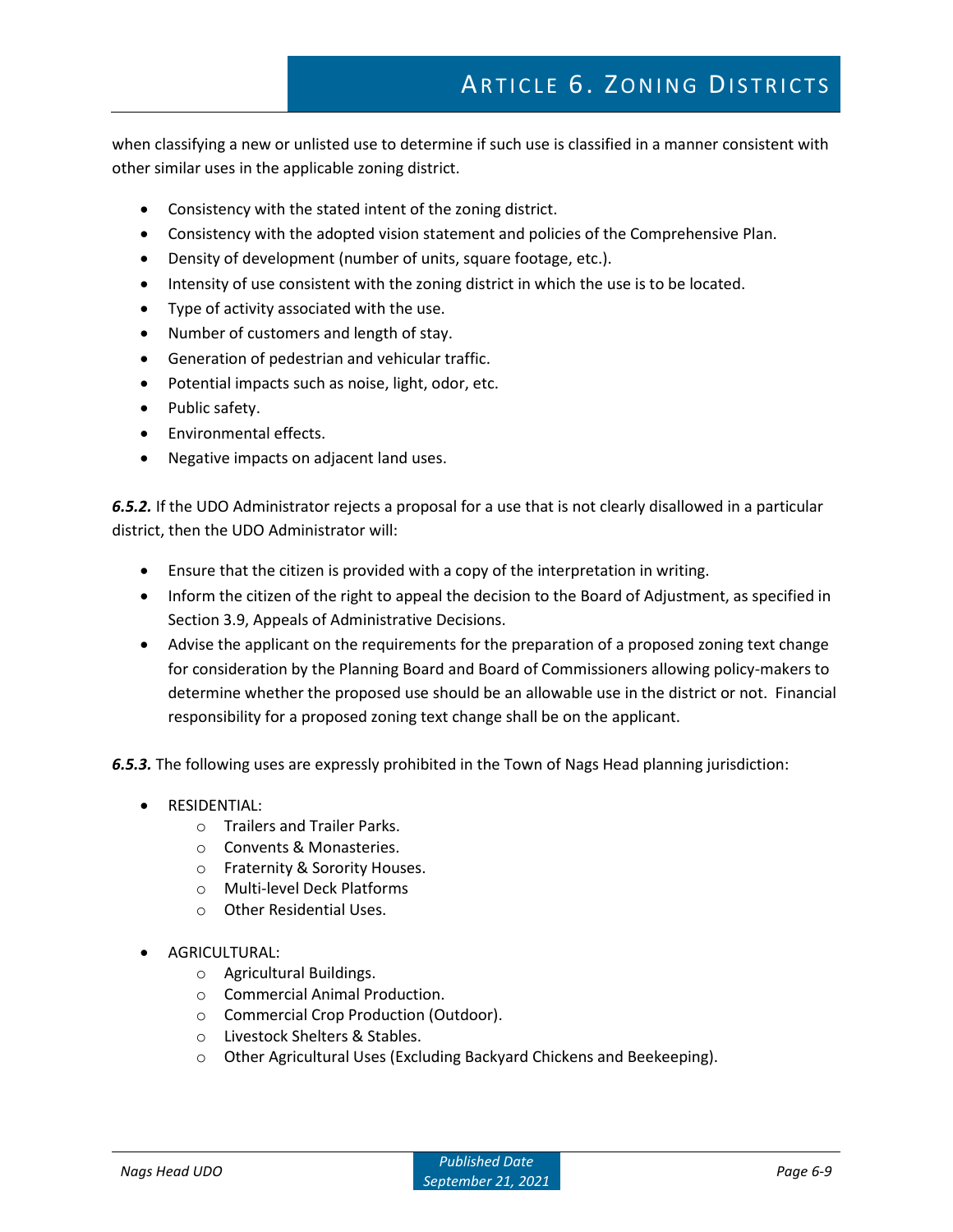# ARTICLE 6. ZONING DISTRICTS

when classifying a new or unlisted use to determine if such use is classified in a manner consistent with other similar uses in the applicable zoning district.

- Consistency with the stated intent of the zoning district.
- Consistency with the adopted vision statement and policies of the Comprehensive Plan.
- Density of development (number of units, square footage, etc.).
- Intensity of use consistent with the zoning district in which the use is to be located.
- Type of activity associated with the use.
- Number of customers and length of stay.
- Generation of pedestrian and vehicular traffic.
- Potential impacts such as noise, light, odor, etc.
- Public safety.
- Environmental effects.
- Negative impacts on adjacent land uses.

*6.5.2.* If the UDO Administrator rejects a proposal for a use that is not clearly disallowed in a particular district, then the UDO Administrator will:

- Ensure that the citizen is provided with a copy of the interpretation in writing.
- Inform the citizen of the right to appeal the decision to the Board of Adjustment, as specified in Section 3.9, Appeals of Administrative Decisions.
- Advise the applicant on the requirements for the preparation of a proposed zoning text change for consideration by the Planning Board and Board of Commissioners allowing policy-makers to determine whether the proposed use should be an allowable use in the district or not. Financial responsibility for a proposed zoning text change shall be on the applicant.

*6.5.3.* The following uses are expressly prohibited in the Town of Nags Head planning jurisdiction:

- RESIDENTIAL:
	- o Trailers and Trailer Parks.
	- o Convents & Monasteries.
	- o Fraternity & Sorority Houses.
	- o Multi-level Deck Platforms
	- o Other Residential Uses.
- AGRICULTURAL:
	- o Agricultural Buildings.
	- o Commercial Animal Production.
	- o Commercial Crop Production (Outdoor).
	- o Livestock Shelters & Stables.
	- o Other Agricultural Uses (Excluding Backyard Chickens and Beekeeping).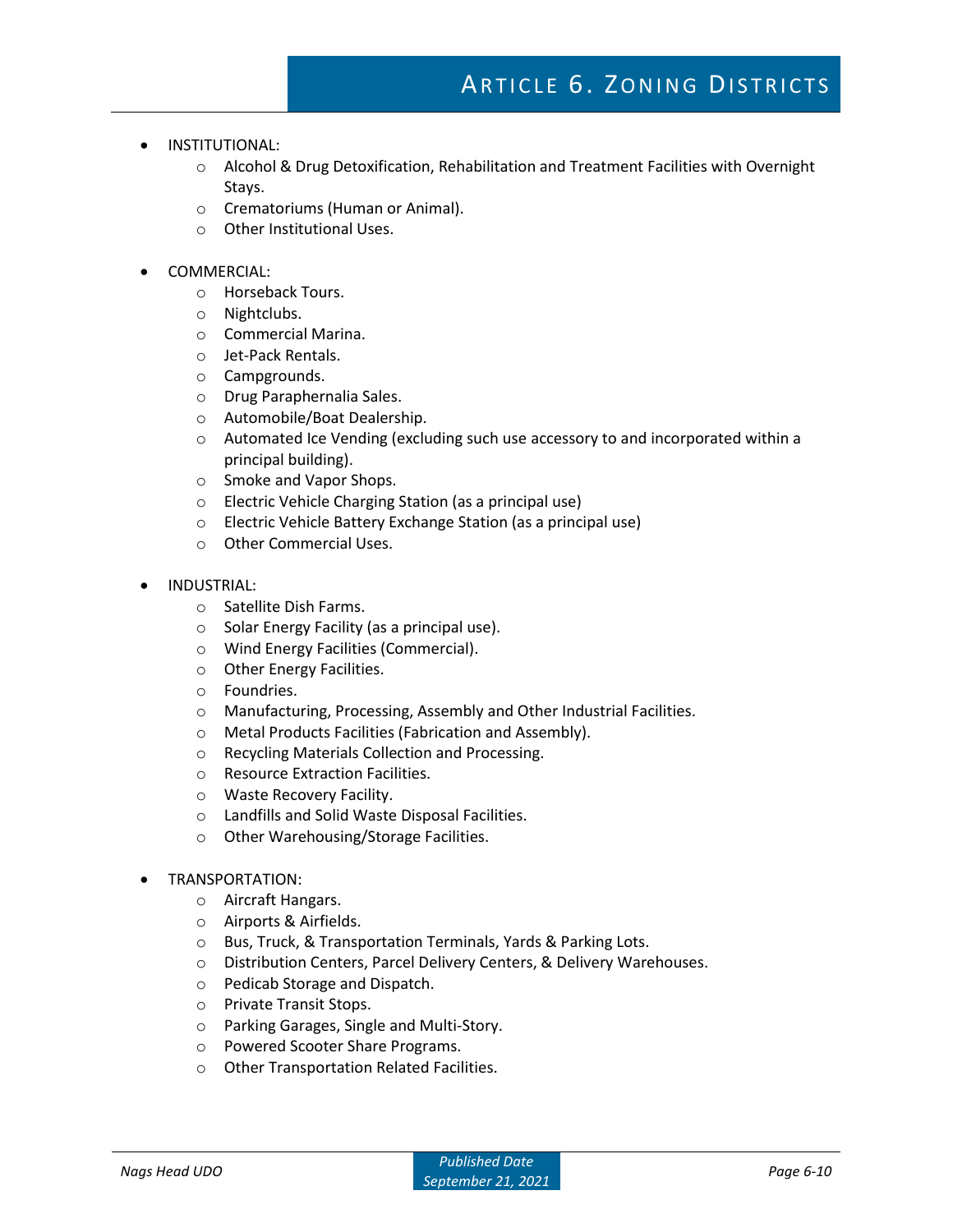- INSTITUTIONAL:
	- o Alcohol & Drug Detoxification, Rehabilitation and Treatment Facilities with Overnight Stays.
	- o Crematoriums (Human or Animal).
	- o Other Institutional Uses.
- COMMERCIAL:
	- o Horseback Tours.
	- o Nightclubs.
	- o Commercial Marina.
	- o Jet-Pack Rentals.
	- o Campgrounds.
	- o Drug Paraphernalia Sales.
	- o Automobile/Boat Dealership.
	- $\circ$  Automated Ice Vending (excluding such use accessory to and incorporated within a principal building).
	- o Smoke and Vapor Shops.
	- o Electric Vehicle Charging Station (as a principal use)
	- o Electric Vehicle Battery Exchange Station (as a principal use)
	- o Other Commercial Uses.
- INDUSTRIAL:
	- o Satellite Dish Farms.
	- o Solar Energy Facility (as a principal use).
	- o Wind Energy Facilities (Commercial).
	- o Other Energy Facilities.
	- o Foundries.
	- o Manufacturing, Processing, Assembly and Other Industrial Facilities.
	- o Metal Products Facilities (Fabrication and Assembly).
	- o Recycling Materials Collection and Processing.
	- o Resource Extraction Facilities.
	- o Waste Recovery Facility.
	- o Landfills and Solid Waste Disposal Facilities.
	- o Other Warehousing/Storage Facilities.
- TRANSPORTATION:
	- o Aircraft Hangars.
	- o Airports & Airfields.
	- o Bus, Truck, & Transportation Terminals, Yards & Parking Lots.
	- o Distribution Centers, Parcel Delivery Centers, & Delivery Warehouses.
	- o Pedicab Storage and Dispatch.
	- o Private Transit Stops.
	- o Parking Garages, Single and Multi-Story.
	- o Powered Scooter Share Programs.
	- o Other Transportation Related Facilities.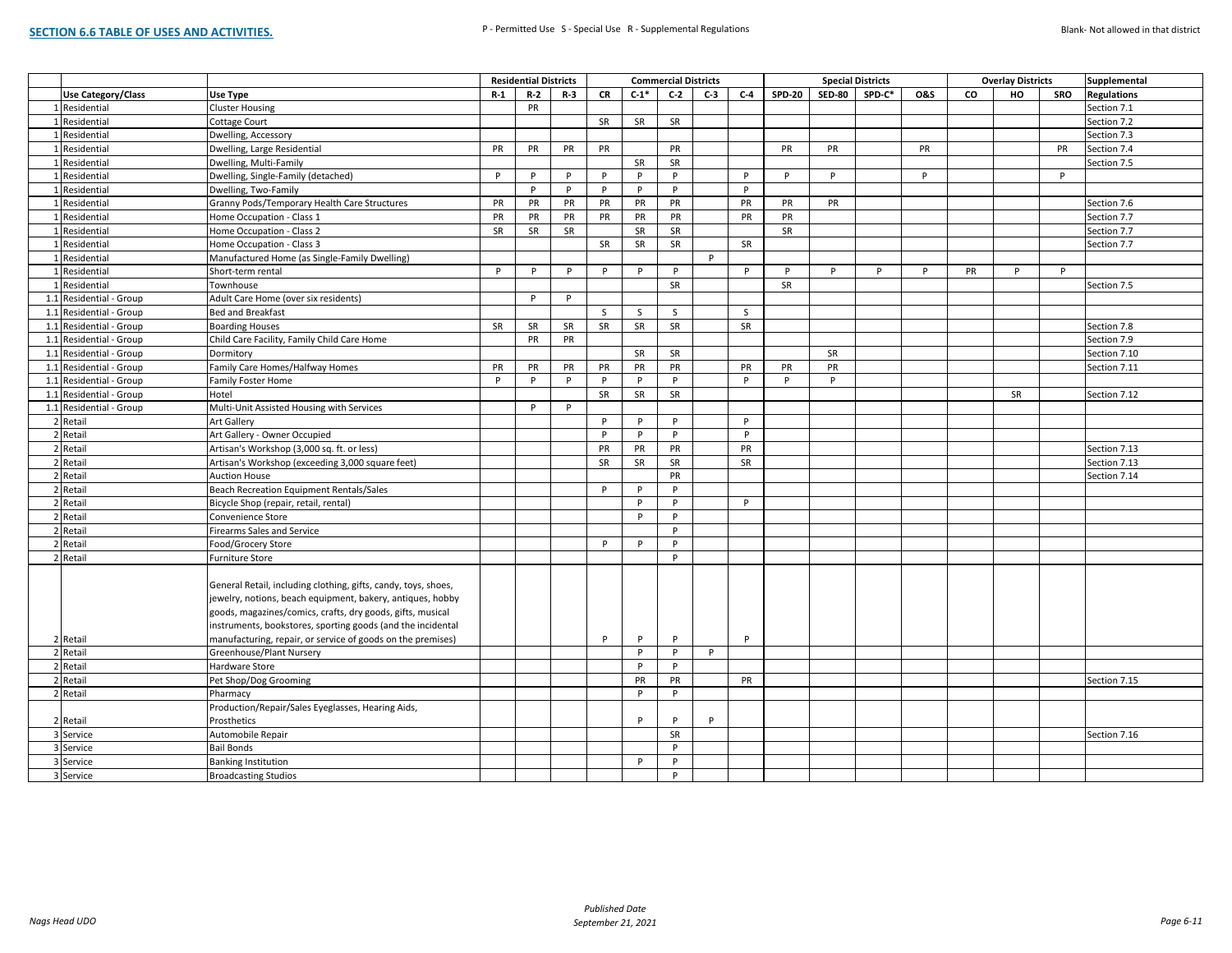|                           |                                                                |           | <b>Residential Districts</b> |           |           |           | <b>Commercial Districts</b> |       |           |               |               | <b>Special Districts</b> |                |    | <b>Overlay Districts</b> |           | Supplemental       |
|---------------------------|----------------------------------------------------------------|-----------|------------------------------|-----------|-----------|-----------|-----------------------------|-------|-----------|---------------|---------------|--------------------------|----------------|----|--------------------------|-----------|--------------------|
| <b>Use Category/Class</b> | Use Type                                                       | $R-1$     | $R-2$                        | $R-3$     | <b>CR</b> | $C-1$ *   | $C-2$                       | $C-3$ | $C-4$     | <b>SPD-20</b> | <b>SED-80</b> | SPD-C*                   | <b>O&amp;S</b> | co | HO                       | SRO       | <b>Regulations</b> |
| 1 Residential             | <b>Cluster Housing</b>                                         |           | PR                           |           |           |           |                             |       |           |               |               |                          |                |    |                          |           | Section 7.1        |
| 1 Residential             | <b>Cottage Court</b>                                           |           |                              |           | SR        | SR        | SR                          |       |           |               |               |                          |                |    |                          |           | Section 7.2        |
| 1 Residential             | Dwelling, Accessory                                            |           |                              |           |           |           |                             |       |           |               |               |                          |                |    |                          |           | Section 7.3        |
| 1 Residential             | Dwelling, Large Residential                                    | <b>PR</b> | PR                           | PR        | PR        |           | <b>PR</b>                   |       |           | PR            | <b>PR</b>     |                          | <b>PR</b>      |    |                          | <b>PR</b> | Section 7.4        |
| 1 Residential             | Dwelling, Multi-Family                                         |           |                              |           |           | SR        | SR                          |       |           |               |               |                          |                |    |                          |           | Section 7.5        |
| 1 Residential             | Dwelling, Single-Family (detached)                             | P         | P                            | P         | P         | P         | P                           |       | P         | P             | P             |                          | P              |    |                          | P         |                    |
| 1 Residential             | Dwelling, Two-Family                                           |           | P                            | P         | P         | P         | P                           |       | P         |               |               |                          |                |    |                          |           |                    |
| 1 Residential             | Granny Pods/Temporary Health Care Structures                   | <b>PR</b> | PR                           | PR        | PR        | PR        | PR                          |       | PR        | PR            | <b>PR</b>     |                          |                |    |                          |           | Section 7.6        |
| 1 Residential             | Home Occupation - Class 1                                      | PR        | PR                           | PR        | PR        | PR        | PR                          |       | PR        | PR            |               |                          |                |    |                          |           | Section 7.7        |
| 1 Residential             | Home Occupation - Class 2                                      | SR        | SR                           | SR        |           | SR        | SR                          |       |           | SR            |               |                          |                |    |                          |           | Section 7.7        |
| 1 Residential             | Home Occupation - Class 3                                      |           |                              |           | SR        | SR        | <b>SR</b>                   |       | SR        |               |               |                          |                |    |                          |           | Section 7.7        |
| 1 Residential             | Manufactured Home (as Single-Family Dwelling)                  |           |                              |           |           |           |                             | P     |           |               |               |                          |                |    |                          |           |                    |
| 1 Residential             | Short-term rental                                              | P         | P                            | P         | P         | P         | P                           |       | P         | P             | P             | P                        | P              | PR | P                        | P         |                    |
| 1 Residential             | Townhouse                                                      |           |                              |           |           |           | SR                          |       |           | SR            |               |                          |                |    |                          |           | Section 7.5        |
| 1.1 Residential - Group   | Adult Care Home (over six residents)                           |           | P                            | P         |           |           |                             |       |           |               |               |                          |                |    |                          |           |                    |
| 1.1 Residential - Group   | Bed and Breakfast                                              |           |                              |           | S         | S         | S                           |       | S         |               |               |                          |                |    |                          |           |                    |
| 1.1 Residential - Group   | <b>Boarding Houses</b>                                         | SR        | SR                           | <b>SR</b> | SR        | SR        | SR                          |       | SR        |               |               |                          |                |    |                          |           | Section 7.8        |
| 1.1 Residential - Group   | Child Care Facility, Family Child Care Home                    |           | PR                           | PR        |           |           |                             |       |           |               |               |                          |                |    |                          |           | Section 7.9        |
| 1.1 Residential - Group   | Dormitory                                                      |           |                              |           |           | <b>SR</b> | <b>SR</b>                   |       |           |               | <b>SR</b>     |                          |                |    |                          |           | Section 7.10       |
| 1.1 Residential - Group   | Family Care Homes/Halfway Homes                                | PR        | PR                           | PR        | PR        | PR        | PR                          |       | PR        | PR            | PR            |                          |                |    |                          |           | Section 7.11       |
| 1.1 Residential - Group   | Family Foster Home                                             | P         | P                            | P         | P         | P         | P                           |       | P         | P             | P             |                          |                |    |                          |           |                    |
| 1.1 Residential - Group   | Hotel                                                          |           |                              |           | SR        | SR        | SR                          |       |           |               |               |                          |                |    | SR                       |           | Section 7.12       |
| 1.1 Residential - Group   | Multi-Unit Assisted Housing with Services                      |           | P                            | P         |           |           |                             |       |           |               |               |                          |                |    |                          |           |                    |
| 2 Retail                  | <b>Art Gallery</b>                                             |           |                              |           | P         | P         | P                           |       | P         |               |               |                          |                |    |                          |           |                    |
| 2 Retail                  | Art Gallery - Owner Occupied                                   |           |                              |           | P         | P         | P                           |       | P         |               |               |                          |                |    |                          |           |                    |
| 2 Retail                  | Artisan's Workshop (3,000 sq. ft. or less)                     |           |                              |           | PR        | PR        | PR                          |       | PR        |               |               |                          |                |    |                          |           | Section 7.13       |
| 2 Retail                  | Artisan's Workshop (exceeding 3,000 square feet)               |           |                              |           | SR        | SR        | SR                          |       | <b>SR</b> |               |               |                          |                |    |                          |           | Section 7.13       |
| 2 Retail                  | <b>Auction House</b>                                           |           |                              |           |           |           | PR                          |       |           |               |               |                          |                |    |                          |           | Section 7.14       |
| 2 Retail                  | Beach Recreation Equipment Rentals/Sales                       |           |                              |           | P         | P         | P                           |       |           |               |               |                          |                |    |                          |           |                    |
| 2 Retail                  | Bicycle Shop (repair, retail, rental)                          |           |                              |           |           | P         | P                           |       | P         |               |               |                          |                |    |                          |           |                    |
| 2 Retail                  | Convenience Store                                              |           |                              |           |           | P         | P                           |       |           |               |               |                          |                |    |                          |           |                    |
| 2 Retail                  | <b>Firearms Sales and Service</b>                              |           |                              |           |           |           | P                           |       |           |               |               |                          |                |    |                          |           |                    |
| 2 Retail                  | Food/Grocery Store                                             |           |                              |           | P         | P         | P                           |       |           |               |               |                          |                |    |                          |           |                    |
| 2 Retail                  | <b>Furniture Store</b>                                         |           |                              |           |           |           | P                           |       |           |               |               |                          |                |    |                          |           |                    |
|                           |                                                                |           |                              |           |           |           |                             |       |           |               |               |                          |                |    |                          |           |                    |
|                           | General Retail, including clothing, gifts, candy, toys, shoes, |           |                              |           |           |           |                             |       |           |               |               |                          |                |    |                          |           |                    |
|                           | jewelry, notions, beach equipment, bakery, antiques, hobby     |           |                              |           |           |           |                             |       |           |               |               |                          |                |    |                          |           |                    |
|                           | goods, magazines/comics, crafts, dry goods, gifts, musical     |           |                              |           |           |           |                             |       |           |               |               |                          |                |    |                          |           |                    |
|                           | instruments, bookstores, sporting goods (and the incidental    |           |                              |           |           |           |                             |       |           |               |               |                          |                |    |                          |           |                    |
| 2 Retail                  | manufacturing, repair, or service of goods on the premises)    |           |                              |           | P         | P         | P                           |       | P         |               |               |                          |                |    |                          |           |                    |
| 2 Retail                  | Greenhouse/Plant Nursery                                       |           |                              |           |           | P         | P                           | P     |           |               |               |                          |                |    |                          |           |                    |
| 2 Retail                  | Hardware Store                                                 |           |                              |           |           | P         | P                           |       |           |               |               |                          |                |    |                          |           |                    |
| 2 Retail                  | Pet Shop/Dog Grooming                                          |           |                              |           |           | PR        | PR                          |       | PR        |               |               |                          |                |    |                          |           | Section 7.15       |
| 2 Retail                  | Pharmacy                                                       |           |                              |           |           | P         | P                           |       |           |               |               |                          |                |    |                          |           |                    |
|                           | Production/Repair/Sales Eyeglasses, Hearing Aids,              |           |                              |           |           |           |                             |       |           |               |               |                          |                |    |                          |           |                    |
| 2 Retail                  | Prosthetics                                                    |           |                              |           |           | P         | D                           | P     |           |               |               |                          |                |    |                          |           |                    |
| 3 Service                 | Automobile Repair                                              |           |                              |           |           |           | SR                          |       |           |               |               |                          |                |    |                          |           | Section 7.16       |
| 3 Service                 | <b>Bail Bonds</b>                                              |           |                              |           |           |           | P                           |       |           |               |               |                          |                |    |                          |           |                    |
| 3 Service                 | <b>Banking Institution</b>                                     |           |                              |           |           | P         | P                           |       |           |               |               |                          |                |    |                          |           |                    |
| 3 Service                 | <b>Broadcasting Studios</b>                                    |           |                              |           |           |           | P                           |       |           |               |               |                          |                |    |                          |           |                    |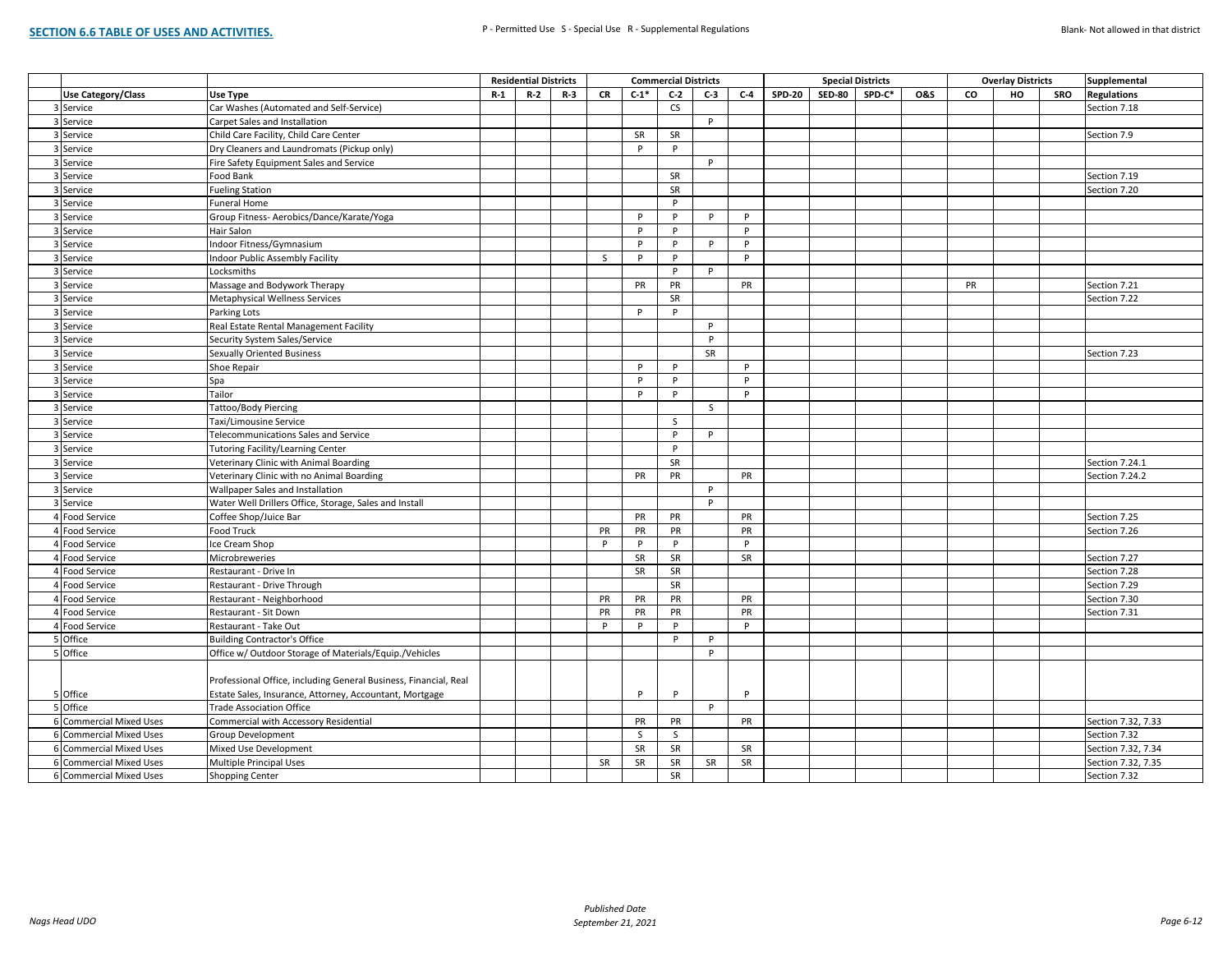|                           |                                                                  |       | <b>Residential Districts</b> |       |           |                    | <b>Commercial Districts</b> |       |           |               | <b>Special Districts</b> |        | <b>Overlay Districts</b> |    |    | Supplemental |                    |
|---------------------------|------------------------------------------------------------------|-------|------------------------------|-------|-----------|--------------------|-----------------------------|-------|-----------|---------------|--------------------------|--------|--------------------------|----|----|--------------|--------------------|
| <b>Use Category/Class</b> | Use Type                                                         | $R-1$ | $R-2$                        | $R-3$ | <b>CR</b> | $C-1$ <sup>*</sup> | $C-2$                       | $C-3$ | $C-4$     | <b>SPD-20</b> | <b>SED-80</b>            | SPD-C* | <b>O&amp;S</b>           | CO | HO | SRO          | <b>Regulations</b> |
| 3 Service                 | Car Washes (Automated and Self-Service)                          |       |                              |       |           |                    | CS                          |       |           |               |                          |        |                          |    |    |              | Section 7.18       |
| 3 Service                 | Carpet Sales and Installation                                    |       |                              |       |           |                    |                             | P     |           |               |                          |        |                          |    |    |              |                    |
| 3 Service                 | Child Care Facility, Child Care Center                           |       |                              |       |           | SR                 | SR                          |       |           |               |                          |        |                          |    |    |              | Section 7.9        |
| 3 Service                 | Dry Cleaners and Laundromats (Pickup only)                       |       |                              |       |           | P                  | P                           |       |           |               |                          |        |                          |    |    |              |                    |
| 3 Service                 | Fire Safety Equipment Sales and Service                          |       |                              |       |           |                    |                             | P     |           |               |                          |        |                          |    |    |              |                    |
| 3 Service                 | Food Bank                                                        |       |                              |       |           |                    | <b>SR</b>                   |       |           |               |                          |        |                          |    |    |              | Section 7.19       |
| 3 Service                 | <b>Fueling Station</b>                                           |       |                              |       |           |                    | SR                          |       |           |               |                          |        |                          |    |    |              | Section 7.20       |
| 3 Service                 | Funeral Home                                                     |       |                              |       |           |                    | P                           |       |           |               |                          |        |                          |    |    |              |                    |
| 3 Service                 | Group Fitness- Aerobics/Dance/Karate/Yoga                        |       |                              |       |           | P                  | P                           | P     | P         |               |                          |        |                          |    |    |              |                    |
| 3 Service                 | Hair Salon                                                       |       |                              |       |           | P                  | P                           |       | P         |               |                          |        |                          |    |    |              |                    |
| 3 Service                 | Indoor Fitness/Gymnasium                                         |       |                              |       |           | P                  | P                           | P     | P         |               |                          |        |                          |    |    |              |                    |
| 3 Service                 | Indoor Public Assembly Facility                                  |       |                              |       | S.        | P                  | P                           |       | P         |               |                          |        |                          |    |    |              |                    |
| 3 Service                 | Locksmiths                                                       |       |                              |       |           |                    | $\mathsf{P}$                | P     |           |               |                          |        |                          |    |    |              |                    |
| 3 Service                 | Massage and Bodywork Therapy                                     |       |                              |       |           | PR                 | PR                          |       | PR        |               |                          |        |                          | PR |    |              | Section 7.21       |
| 3 Service                 | Metaphysical Wellness Services                                   |       |                              |       |           |                    | SR                          |       |           |               |                          |        |                          |    |    |              | Section 7.22       |
| 3 Service                 | Parking Lots                                                     |       |                              |       |           | P                  | P                           |       |           |               |                          |        |                          |    |    |              |                    |
| 3 Service                 | Real Estate Rental Management Facility                           |       |                              |       |           |                    |                             | P     |           |               |                          |        |                          |    |    |              |                    |
| 3 Service                 | Security System Sales/Service                                    |       |                              |       |           |                    |                             | P     |           |               |                          |        |                          |    |    |              |                    |
| 3 Service                 | <b>Sexually Oriented Business</b>                                |       |                              |       |           |                    |                             | SR    |           |               |                          |        |                          |    |    |              | Section 7.23       |
| 3 Service                 | Shoe Repair                                                      |       |                              |       |           | P                  | P                           |       | P         |               |                          |        |                          |    |    |              |                    |
| 3 Service                 | Spa                                                              |       |                              |       |           | p                  | P                           |       | p         |               |                          |        |                          |    |    |              |                    |
| 3 Service                 | Tailor                                                           |       |                              |       |           | P                  | P                           |       | P         |               |                          |        |                          |    |    |              |                    |
| 3 Service                 | Tattoo/Body Piercing                                             |       |                              |       |           |                    |                             | S.    |           |               |                          |        |                          |    |    |              |                    |
| 3 Service                 | Taxi/Limousine Service                                           |       |                              |       |           |                    | <sub>S</sub>                |       |           |               |                          |        |                          |    |    |              |                    |
| 3 Service                 | Telecommunications Sales and Service                             |       |                              |       |           |                    | P                           | P     |           |               |                          |        |                          |    |    |              |                    |
| 3 Service                 | <b>Tutoring Facility/Learning Center</b>                         |       |                              |       |           |                    | P                           |       |           |               |                          |        |                          |    |    |              |                    |
| 3 Service                 | Veterinary Clinic with Animal Boarding                           |       |                              |       |           |                    | SR                          |       |           |               |                          |        |                          |    |    |              | Section 7.24.1     |
| 3 Service                 | Veterinary Clinic with no Animal Boarding                        |       |                              |       |           | PR                 | PR                          |       | PR        |               |                          |        |                          |    |    |              | Section 7.24.2     |
| 3 Service                 | Wallpaper Sales and Installation                                 |       |                              |       |           |                    |                             | P     |           |               |                          |        |                          |    |    |              |                    |
| 3 Service                 | Water Well Drillers Office, Storage, Sales and Install           |       |                              |       |           |                    |                             | P     |           |               |                          |        |                          |    |    |              |                    |
| 4 Food Service            | Coffee Shop/Juice Bar                                            |       |                              |       |           | PR                 | <b>PR</b>                   |       | PR        |               |                          |        |                          |    |    |              | Section 7.25       |
| 4 Food Service            | Food Truck                                                       |       |                              |       | PR        | PR                 | PR                          |       | PR        |               |                          |        |                          |    |    |              | Section 7.26       |
| 4 Food Service            | Ice Cream Shop                                                   |       |                              |       | P         | P                  | P                           |       | P         |               |                          |        |                          |    |    |              |                    |
| 4 Food Service            | Microbreweries                                                   |       |                              |       |           | SR                 | SR                          |       | <b>SR</b> |               |                          |        |                          |    |    |              | Section 7.27       |
| 4 Food Service            | Restaurant - Drive In                                            |       |                              |       |           | SR                 | SR                          |       |           |               |                          |        |                          |    |    |              | Section 7.28       |
| 4 Food Service            | Restaurant - Drive Through                                       |       |                              |       |           |                    | <b>SR</b>                   |       |           |               |                          |        |                          |    |    |              | Section 7.29       |
| 4 Food Service            | Restaurant - Neighborhood                                        |       |                              |       | PR        | PR                 | PR                          |       | PR        |               |                          |        |                          |    |    |              | Section 7.30       |
| 4 Food Service            | Restaurant - Sit Down                                            |       |                              |       | PR        | PR                 | PR                          |       | PR        |               |                          |        |                          |    |    |              | Section 7.31       |
| 4 Food Service            | Restaurant - Take Out                                            |       |                              |       | P         | P                  | P                           |       | P         |               |                          |        |                          |    |    |              |                    |
| 5 Office                  | <b>Building Contractor's Office</b>                              |       |                              |       |           |                    | P                           | P     |           |               |                          |        |                          |    |    |              |                    |
| 5 Office                  | Office w/ Outdoor Storage of Materials/Equip./Vehicles           |       |                              |       |           |                    |                             | P     |           |               |                          |        |                          |    |    |              |                    |
|                           |                                                                  |       |                              |       |           |                    |                             |       |           |               |                          |        |                          |    |    |              |                    |
|                           | Professional Office, including General Business, Financial, Real |       |                              |       |           |                    |                             |       |           |               |                          |        |                          |    |    |              |                    |
| 5 Office                  | Estate Sales, Insurance, Attorney, Accountant, Mortgage          |       |                              |       |           | P                  | P                           |       | p         |               |                          |        |                          |    |    |              |                    |
| 5 Office                  | <b>Trade Association Office</b>                                  |       |                              |       |           |                    |                             | P     |           |               |                          |        |                          |    |    |              |                    |
| 6 Commercial Mixed Uses   | Commercial with Accessory Residential                            |       |                              |       |           | PR                 | PR                          |       | PR        |               |                          |        |                          |    |    |              | Section 7.32, 7.33 |
| 6 Commercial Mixed Uses   | Group Development                                                |       |                              |       |           | S.                 | S.                          |       |           |               |                          |        |                          |    |    |              | Section 7.32       |
| 6 Commercial Mixed Uses   | Mixed Use Development                                            |       |                              |       |           | SR                 | <b>SR</b>                   |       | SR        |               |                          |        |                          |    |    |              | Section 7.32, 7.34 |
| 6 Commercial Mixed Uses   | Multiple Principal Uses                                          |       |                              |       | SR        | SR                 | SR                          | SR    | SR        |               |                          |        |                          |    |    |              | Section 7.32, 7.35 |
| 6 Commercial Mixed Uses   | <b>Shopping Center</b>                                           |       |                              |       |           |                    | SR                          |       |           |               |                          |        |                          |    |    |              | Section 7.32       |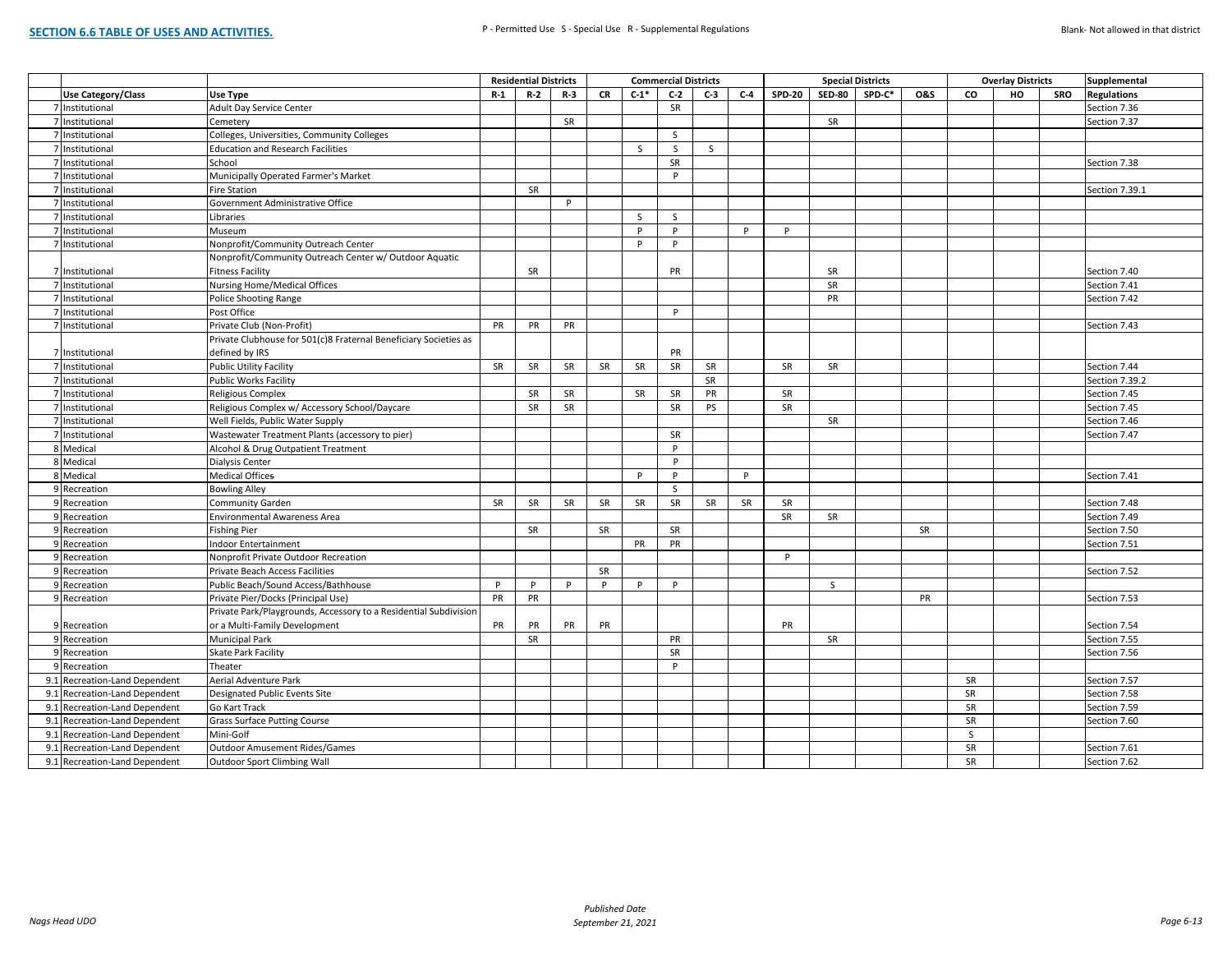|     |                                  |                                                                  |           | <b>Residential Districts</b> |       |           |              | <b>Commercial Districts</b> |       |       |               | <b>Special Districts</b> |        |                |              | <b>Overlay Districts</b> |     | Supplemental       |
|-----|----------------------------------|------------------------------------------------------------------|-----------|------------------------------|-------|-----------|--------------|-----------------------------|-------|-------|---------------|--------------------------|--------|----------------|--------------|--------------------------|-----|--------------------|
|     | <b>Use Category/Class</b>        | Use Type                                                         | $R-1$     | $R-2$                        | $R-3$ | CR        | $C-1*$       | $C-2$                       | $C-3$ | $C-4$ | <b>SPD-20</b> | <b>SED-80</b>            | SPD-C* | <b>0&amp;S</b> | co           | HO                       | SRO | <b>Regulations</b> |
|     | 7 Institutional                  | Adult Day Service Center                                         |           |                              |       |           |              | SR                          |       |       |               |                          |        |                |              |                          |     | Section 7.36       |
|     | 7 Institutional                  | Cemetery                                                         |           |                              | SR    |           |              |                             |       |       |               | SR                       |        |                |              |                          |     | Section 7.37       |
|     | 7 Institutional                  | Colleges, Universities, Community Colleges                       |           |                              |       |           |              | <sub>S</sub>                |       |       |               |                          |        |                |              |                          |     |                    |
|     | 7 Institutional                  | <b>Education and Research Facilities</b>                         |           |                              |       |           | S            | S                           | S     |       |               |                          |        |                |              |                          |     |                    |
|     | 7 Institutional                  | School                                                           |           |                              |       |           |              | SR                          |       |       |               |                          |        |                |              |                          |     | Section 7.38       |
|     | 7 Institutional                  | Municipally Operated Farmer's Market                             |           |                              |       |           |              | P                           |       |       |               |                          |        |                |              |                          |     |                    |
|     | 7 Institutional                  | Fire Station                                                     |           | SR                           |       |           |              |                             |       |       |               |                          |        |                |              |                          |     | Section 7.39.1     |
|     | 7 Institutional                  | Government Administrative Office                                 |           |                              | P     |           |              |                             |       |       |               |                          |        |                |              |                          |     |                    |
|     | 7 Institutional                  | Libraries                                                        |           |                              |       |           | $\mathsf{S}$ | <sub>S</sub>                |       |       |               |                          |        |                |              |                          |     |                    |
|     | 7 Institutional                  | Museum                                                           |           |                              |       |           | P            | P                           |       | P     | P             |                          |        |                |              |                          |     |                    |
|     | 7 Institutional                  | Nonprofit/Community Outreach Center                              |           |                              |       |           | P            | P                           |       |       |               |                          |        |                |              |                          |     |                    |
|     |                                  | Nonprofit/Community Outreach Center w/ Outdoor Aquatic           |           |                              |       |           |              |                             |       |       |               |                          |        |                |              |                          |     |                    |
|     | 7 Institutional                  | <b>Fitness Facility</b>                                          |           | SR                           |       |           |              | PR                          |       |       |               | SR                       |        |                |              |                          |     | Section 7.40       |
|     | 7 Institutional                  | <b>Nursing Home/Medical Offices</b>                              |           |                              |       |           |              |                             |       |       |               | SR                       |        |                |              |                          |     | Section 7.41       |
|     | 7 Institutional                  | <b>Police Shooting Range</b>                                     |           |                              |       |           |              |                             |       |       |               | PR                       |        |                |              |                          |     | Section 7.42       |
|     | 7 Institutional                  | Post Office                                                      |           |                              |       |           |              | P                           |       |       |               |                          |        |                |              |                          |     |                    |
|     | 7 Institutional                  | Private Club (Non-Profit)                                        | PR        | PR                           | PR    |           |              |                             |       |       |               |                          |        |                |              |                          |     | Section 7.43       |
|     |                                  | Private Clubhouse for 501(c)8 Fraternal Beneficiary Societies as |           |                              |       |           |              |                             |       |       |               |                          |        |                |              |                          |     |                    |
|     | 7 Institutional                  | defined by IRS                                                   |           |                              |       |           |              | PR                          |       |       |               |                          |        |                |              |                          |     |                    |
|     | 7 Institutional                  | <b>Public Utility Facility</b>                                   | SR        | SR                           | SR    | SR        | SR           | SR                          | SR    |       | SR            | SR                       |        |                |              |                          |     | Section 7.44       |
|     | 7 Institutional                  | <b>Public Works Facility</b>                                     |           |                              |       |           |              |                             | SR    |       |               |                          |        |                |              |                          |     | Section 7.39.2     |
|     | 7 Institutional                  | Religious Complex                                                |           | SR                           | SR    |           | SR           | SR                          | PR    |       | SR            |                          |        |                |              |                          |     | Section 7.45       |
|     | 7 Institutional                  | Religious Complex w/ Accessory School/Daycare                    |           | SR                           | SR    |           |              | SR                          | PS    |       | SR            |                          |        |                |              |                          |     | Section 7.45       |
|     | 7 Institutional                  | Well Fields, Public Water Supply                                 |           |                              |       |           |              |                             |       |       |               | SR                       |        |                |              |                          |     | Section 7.46       |
|     | 7 Institutional                  | Wastewater Treatment Plants (accessory to pier)                  |           |                              |       |           |              | <b>SR</b>                   |       |       |               |                          |        |                |              |                          |     | Section 7.47       |
|     | 8 Medical                        | Alcohol & Drug Outpatient Treatment                              |           |                              |       |           |              | P                           |       |       |               |                          |        |                |              |                          |     |                    |
|     | 8 Medical                        | Dialysis Center                                                  |           |                              |       |           |              | P                           |       |       |               |                          |        |                |              |                          |     |                    |
|     | 8 Medical                        | <b>Medical Offices</b>                                           |           |                              |       |           | P            | P                           |       | P     |               |                          |        |                |              |                          |     | Section 7.41       |
|     | 9 Recreation                     | <b>Bowling Alley</b>                                             |           |                              |       |           |              | <sub>S</sub>                |       |       |               |                          |        |                |              |                          |     |                    |
|     | 9 Recreation                     | Community Garden                                                 | <b>SR</b> | <b>SR</b>                    | SR    | <b>SR</b> | SR           | SR                          | SR    | SR    | SR            |                          |        |                |              |                          |     | Section 7.48       |
|     | 9 Recreation                     | <b>Environmental Awareness Area</b>                              |           |                              |       |           |              |                             |       |       | SR            | SR                       |        |                |              |                          |     | Section 7.49       |
|     | 9 Recreation                     | <b>Fishing Pier</b>                                              |           | SR                           |       | SR        |              | <b>SR</b>                   |       |       |               |                          |        | SR             |              |                          |     | Section 7.50       |
|     | 9 Recreation                     | Indoor Entertainment                                             |           |                              |       |           | PR           | PR                          |       |       |               |                          |        |                |              |                          |     | Section 7.51       |
|     | 9 Recreation                     | Nonprofit Private Outdoor Recreation                             |           |                              |       |           |              |                             |       |       | P             |                          |        |                |              |                          |     |                    |
|     | 9 Recreation                     | Private Beach Access Facilities                                  |           |                              |       | SR        |              |                             |       |       |               |                          |        |                |              |                          |     | Section 7.52       |
|     | 9 Recreation                     | Public Beach/Sound Access/Bathhouse                              | P         | P                            | P     | P         | P            | P                           |       |       |               | S                        |        |                |              |                          |     |                    |
|     | 9 Recreation                     | Private Pier/Docks (Principal Use)                               | PR        | PR                           |       |           |              |                             |       |       |               |                          |        | PR             |              |                          |     | Section 7.53       |
|     |                                  | Private Park/Playgrounds, Accessory to a Residential Subdivision |           |                              |       |           |              |                             |       |       |               |                          |        |                |              |                          |     |                    |
|     | 9 Recreation                     | or a Multi-Family Development                                    | PR        | PR                           | PR    | PR        |              |                             |       |       | PR            |                          |        |                |              |                          |     | Section 7.54       |
|     | 9 Recreation                     | <b>Municipal Park</b>                                            |           | SR                           |       |           |              | PR                          |       |       |               | SR                       |        |                |              |                          |     | Section 7.55       |
|     | 9 Recreation                     | Skate Park Facility                                              |           |                              |       |           |              | SR                          |       |       |               |                          |        |                |              |                          |     | Section 7.56       |
|     | 9 Recreation                     | Theater                                                          |           |                              |       |           |              | P                           |       |       |               |                          |        |                |              |                          |     |                    |
|     | 9.1 Recreation-Land Dependent    | Aerial Adventure Park                                            |           |                              |       |           |              |                             |       |       |               |                          |        |                | SR           |                          |     | Section 7.57       |
|     | 9.1 Recreation-Land Dependent    | Designated Public Events Site                                    |           |                              |       |           |              |                             |       |       |               |                          |        |                | SR           |                          |     | Section 7.58       |
|     | 9.1 Recreation-Land Dependent    | Go Kart Track                                                    |           |                              |       |           |              |                             |       |       |               |                          |        |                | <b>SR</b>    |                          |     | Section 7.59       |
|     | 9.1 Recreation-Land Dependent    | <b>Grass Surface Putting Course</b>                              |           |                              |       |           |              |                             |       |       |               |                          |        |                | <b>SR</b>    |                          |     | Section 7.60       |
| 9.1 | Recreation-Land Dependent        | Mini-Golf                                                        |           |                              |       |           |              |                             |       |       |               |                          |        |                | $\mathsf{S}$ |                          |     |                    |
| 9.1 | <b>Recreation-Land Dependent</b> | <b>Outdoor Amusement Rides/Games</b>                             |           |                              |       |           |              |                             |       |       |               |                          |        |                | SR           |                          |     | Section 7.61       |
|     | 9.1 Recreation-Land Dependent    | <b>Outdoor Sport Climbing Wall</b>                               |           |                              |       |           |              |                             |       |       |               |                          |        |                | SR           |                          |     | Section 7.62       |